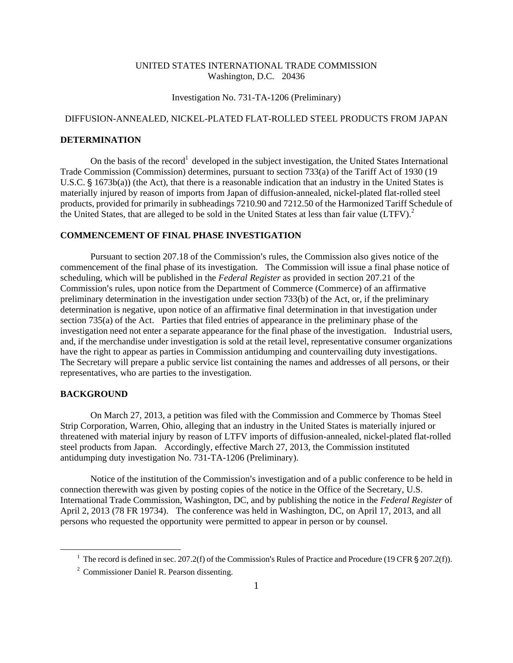#### UNITED STATES INTERNATIONAL TRADE COMMISSION Washington, D.C. 20436

## Investigation No. 731-TA-1206 (Preliminary)

# DIFFUSION-ANNEALED, NICKEL-PLATED FLAT-ROLLED STEEL PRODUCTS FROM JAPAN

# **DETERMINATION**

On the basis of the record<sup>1</sup> developed in the subject investigation, the United States International Trade Commission (Commission) determines, pursuant to section 733(a) of the Tariff Act of 1930 (19 U.S.C.  $\S$  1673b(a)) (the Act), that there is a reasonable indication that an industry in the United States is materially injured by reason of imports from Japan of diffusion-annealed, nickel-plated flat-rolled steel products, provided for primarily in subheadings 7210.90 and 7212.50 of the Harmonized Tariff Schedule of the United States, that are alleged to be sold in the United States at less than fair value (LTFV).<sup>2</sup>

## **COMMENCEMENT OF FINAL PHASE INVESTIGATION**

Pursuant to section 207.18 of the Commission's rules, the Commission also gives notice of the commencement of the final phase of its investigation. The Commission will issue a final phase notice of scheduling, which will be published in the *Federal Register* as provided in section 207.21 of the Commission's rules, upon notice from the Department of Commerce (Commerce) of an affirmative preliminary determination in the investigation under section 733(b) of the Act, or, if the preliminary determination is negative, upon notice of an affirmative final determination in that investigation under section 735(a) of the Act. Parties that filed entries of appearance in the preliminary phase of the investigation need not enter a separate appearance for the final phase of the investigation. Industrial users, and, if the merchandise under investigation is sold at the retail level, representative consumer organizations have the right to appear as parties in Commission antidumping and countervailing duty investigations. The Secretary will prepare a public service list containing the names and addresses of all persons, or their representatives, who are parties to the investigation.

#### **BACKGROUND**

 $\overline{a}$ 

On March 27, 2013, a petition was filed with the Commission and Commerce by Thomas Steel Strip Corporation, Warren, Ohio, alleging that an industry in the United States is materially injured or threatened with material injury by reason of LTFV imports of diffusion-annealed, nickel-plated flat-rolled steel products from Japan. Accordingly, effective March 27, 2013, the Commission instituted antidumping duty investigation No. 731-TA-1206 (Preliminary).

Notice of the institution of the Commission's investigation and of a public conference to be held in connection therewith was given by posting copies of the notice in the Office of the Secretary, U.S. International Trade Commission, Washington, DC, and by publishing the notice in the *Federal Register* of April 2, 2013 (78 FR 19734). The conference was held in Washington, DC, on April 17, 2013, and all persons who requested the opportunity were permitted to appear in person or by counsel.

<sup>&</sup>lt;sup>1</sup> The record is defined in sec. 207.2(f) of the Commission's Rules of Practice and Procedure (19 CFR  $\S 207.2(f)$ ).

<sup>2</sup> Commissioner Daniel R. Pearson dissenting.